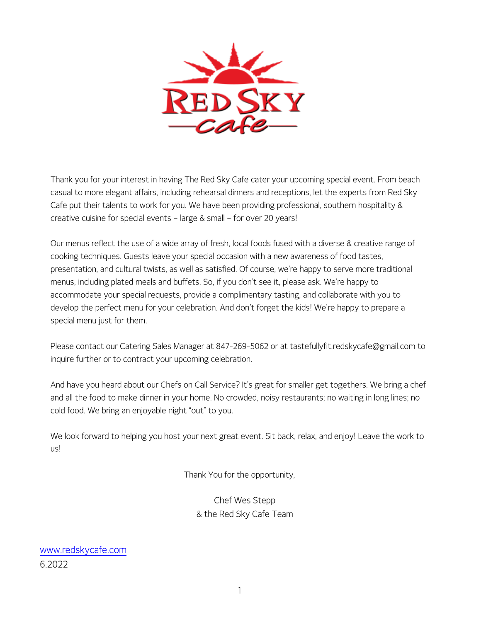

Thank you for your interest in having The Red Sky Cafe cater your upcoming special event. From beach casual to more elegant affairs, including rehearsal dinners and receptions, let the experts from Red Sky Cafe put their talents to work for you. We have been providing professional, southern hospitality & creative cuisine for special events – large & small – for over 20 years!

Our menus reflect the use of a wide array of fresh, local foods fused with a diverse & creative range of cooking techniques. Guests leave your special occasion with a new awareness of food tastes, presentation, and cultural twists, as well as satisfied. Of course, we're happy to serve more traditional menus, including plated meals and buffets. So, if you don't see it, please ask. We're happy to accommodate your special requests, provide a complimentary tasting, and collaborate with you to develop the perfect menu for your celebration. And don't forget the kids! We're happy to prepare a special menu just for them.

Please contact our Catering Sales Manager at 847-269-5062 or at tastefullyfit.redskycafe@gmail.com to inquire further or to contract your upcoming celebration.

And have you heard about our Chefs on Call Service? It's great for smaller get togethers. We bring a chef and all the food to make dinner in your home. No crowded, noisy restaurants; no waiting in long lines; no cold food. We bring an enjoyable night "out" to you.

We look forward to helping you host your next great event. Sit back, relax, and enjoy! Leave the work to us!

Thank You for the opportunity,

Chef Wes Stepp & the Red Sky Cafe Team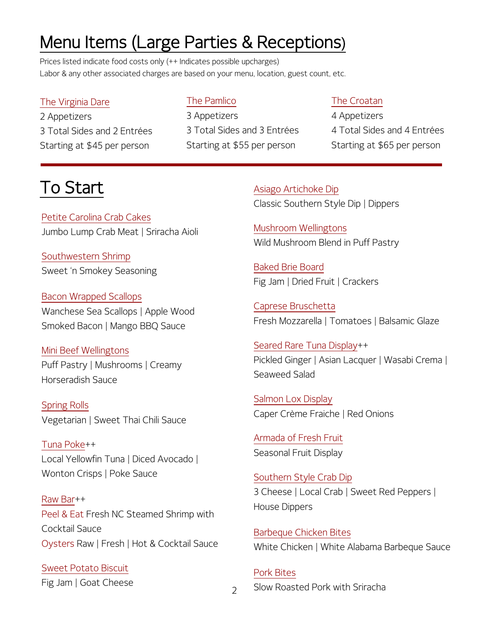# Menu Items (Large Parties & Receptions)

Prices listed indicate food costs only (++ Indicates possible upcharges) Labor & any other associated charges are based on your menu, location, guest count, etc.

### The Virginia Dare

2 Appetizers 3 Total Sides and 2 Entrées Starting at \$45 per person

### The Pamlico

3 Appetizers 3 Total Sides and 3 Entrées Starting at \$55 per person

### The Croatan

4 Appetizers 4 Total Sides and 4 Entrées Starting at \$65 per person

# To Start

Petite Carolina Crab Cakes Jumbo Lump Crab Meat | Sriracha Aioli

Southwestern Shrimp Sweet 'n Smokey Seasoning

Bacon Wrapped Scallops Wanchese Sea Scallops | Apple Wood Smoked Bacon | Mango BBQ Sauce

Mini Beef Wellingtons Puff Pastry | Mushrooms | Creamy Horseradish Sauce

Spring Rolls Vegetarian | Sweet Thai Chili Sauce

Tuna Poke++ Local Yellowfin Tuna | Diced Avocado | Wonton Crisps | Poke Sauce

Raw Bar++ Peel & Eat Fresh NC Steamed Shrimp with Cocktail Sauce Oysters Raw | Fresh | Hot & Cocktail Sauce

Sweet Potato Biscuit Fig Jam | Goat Cheese Asiago Artichoke Dip Classic Southern Style Dip | Dippers

Mushroom Wellingtons Wild Mushroom Blend in Puff Pastry

Baked Brie Board Fig Jam | Dried Fruit | Crackers

Caprese Bruschetta Fresh Mozzarella | Tomatoes | Balsamic Glaze

Seared Rare Tuna Display++ Pickled Ginger | Asian Lacquer | Wasabi Crema | Seaweed Salad

Salmon Lox Display Caper Crème Fraiche | Red Onions

Armada of Fresh Fruit Seasonal Fruit Display

 3 Cheese | Local Crab | Sweet Red Peppers | Southern Style Crab Dip House Dippers

 $\overline{a}$  White Chicken | White Alabama Barbeque Sauce Barbeque Chicken Bites

Pork Bites Slow Roasted Pork with Sriracha

 $\overline{\phantom{0}}$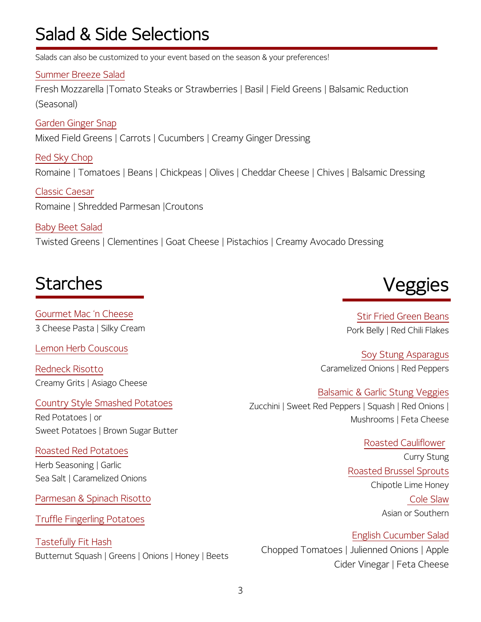# Salad & Side Selections

Salads can also be customized to your event based on the season & your preferences!

Summer Breeze Salad

Fresh Mozzarella |Tomato Steaks or Strawberries | Basil | Field Greens | Balsamic Reduction (Seasonal)

Garden Ginger Snap Mixed Field Greens | Carrots | Cucumbers | Creamy Ginger Dressing

Red Sky Chop Romaine | Tomatoes | Beans | Chickpeas | Olives | Cheddar Cheese | Chives | Balsamic Dressing

Classic Caesar Romaine | Shredded Parmesan |Croutons

Baby Beet Salad Twisted Greens | Clementines | Goat Cheese | Pistachios | Creamy Avocado Dressing

# **Starches**

Gourmet Mac 'n Cheese 3 Cheese Pasta | Silky Cream

Lemon Herb Couscous

Redneck Risotto Creamy Grits | Asiago Cheese

Country Style Smashed Potatoes Red Potatoes | or Sweet Potatoes | Brown Sugar Butter

Roasted Red Potatoes Herb Seasoning | Garlic Sea Salt | Caramelized Onions

Parmesan & Spinach Risotto

Truffle Fingerling Potatoes

Tastefully Fit Hash Butternut Squash | Greens | Onions | Honey | Beets



Stir Fried Green Beans Pork Belly | Red Chili Flakes

Soy Stung Asparagus Caramelized Onions | Red Peppers

Balsamic & Garlic Stung Veggies Zucchini | Sweet Red Peppers | Squash | Red Onions | Mushrooms | Feta Cheese

> Roasted Cauliflower Curry Stung Roasted Brussel Sprouts Chipotle Lime Honey Cole Slaw Asian or Southern

English Cucumber Salad Chopped Tomatoes | Julienned Onions | Apple Cider Vinegar | Feta Cheese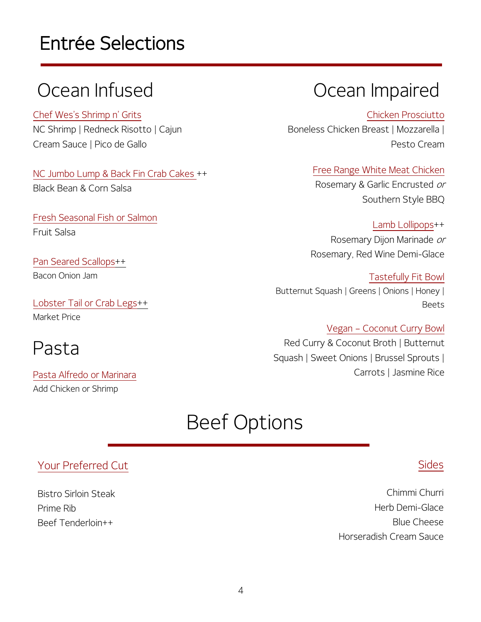# Entrée Selections

Chef Wes's Shrimp n' Grits NC Shrimp | Redneck Risotto | Cajun Cream Sauce | Pico de Gallo

NC Jumbo Lump & Back Fin Crab Cakes ++ Black Bean & Corn Salsa

Fresh Seasonal Fish or Salmon Fruit Salsa

Pan Seared Scallops++ Bacon Onion Jam

Lobster Tail or Crab Legs++ Market Price

# Pasta

 Add Chicken or ShrimpPasta Alfredo or Marinara

# Ocean Infused Coean Impaired

Chicken Prosciutto Boneless Chicken Breast | Mozzarella | Pesto Cream

> Free Range White Meat Chicken Rosemary & Garlic Encrusted or Southern Style BBQ

Lamb Lollipops++ Rosemary Dijon Marinade or Rosemary, Red Wine Demi-Glace

Tastefully Fit Bowl Butternut Squash | Greens | Onions | Honey | Beets

Vegan – Coconut Curry Bowl Red Curry & Coconut Broth | Butternut Squash | Sweet Onions | Brussel Sprouts | Carrots | Jasmine Rice

# Beef Options

### $\frac{1}{2}$ Your Preferred Cut

Ξ Prime Rib  $\overline{a}$ Bistro Sirloin Steak Beef Tenderloin++

### Sides

Chimmi Churri Herb Demi-Glace Blue Cheese Horseradish Cream Sauce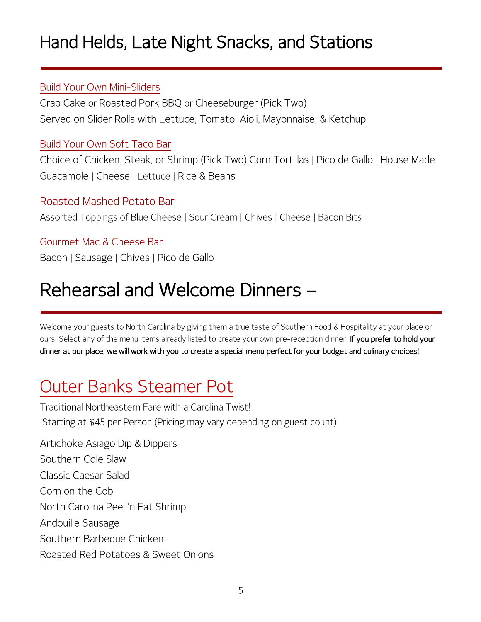# Hand Helds, Late Night Snacks, and Stations

### Build Your Own Mini-Sliders

Crab Cake or Roasted Pork BBQ or Cheeseburger (Pick Two) Served on Slider Rolls with Lettuce, Tomato, Aioli, Mayonnaise, & Ketchup

### Build Your Own Soft Taco Bar

Choice of Chicken, Steak, or Shrimp (Pick Two) Corn Tortillas | Pico de Gallo | House Made Guacamole | Cheese | Lettuce | Rice & Beans

### Roasted Mashed Potato Bar

Assorted Toppings of Blue Cheese | Sour Cream | Chives | Cheese | Bacon Bits

Gourmet Mac & Cheese Bar Bacon | Sausage | Chives | Pico de Gallo

# Rehearsal and Welcome Dinners –

Welcome your guests to North Carolina by giving them a true taste of Southern Food & Hospitality at your place or ours! Select any of the menu items already listed to create your own pre-reception dinner! If you prefer to hold your dinner at our place, we will work with you to create a special menu perfect for your budget and culinary choices!

# Outer Banks Steamer Pot

Traditional Northeastern Fare with a Carolina Twist! Starting at \$45 per Person (Pricing may vary depending on guest count)

Artichoke Asiago Dip & Dippers Southern Cole Slaw Classic Caesar Salad Corn on the Cob North Carolina Peel 'n Eat Shrimp Andouille Sausage Southern Barbeque Chicken Roasted Red Potatoes & Sweet Onions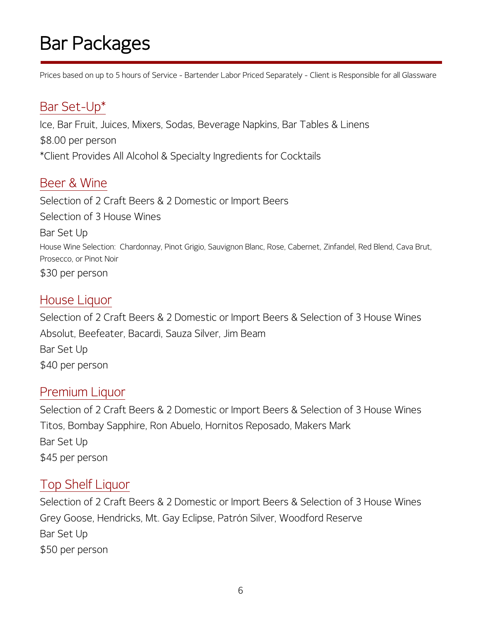# Bar Packages

Prices based on up to 5 hours of Service - Bartender Labor Priced Separately - Client is Responsible for all Glassware

# Bar Set-Up\*

Ice, Bar Fruit, Juices, Mixers, Sodas, Beverage Napkins, Bar Tables & Linens \$8.00 per person \*Client Provides All Alcohol & Specialty Ingredients for Cocktails

# Beer & Wine

Selection of 2 Craft Beers & 2 Domestic or Import Beers Selection of 3 House Wines

Bar Set Up House Wine Selection: Chardonnay, Pinot Grigio, Sauvignon Blanc, Rose, Cabernet, Zinfandel, Red Blend, Cava Brut, Prosecco, or Pinot Noir \$30 per person

### House Liquor

Selection of 2 Craft Beers & 2 Domestic or Import Beers & Selection of 3 House Wines Absolut, Beefeater, Bacardi, Sauza Silver, Jim Beam Bar Set Up \$40 per person

### Premium Liquor

Selection of 2 Craft Beers & 2 Domestic or Import Beers & Selection of 3 House Wines Titos, Bombay Sapphire, Ron Abuelo, Hornitos Reposado, Makers Mark Bar Set Up \$45 per person

## Top Shelf Liquor

Selection of 2 Craft Beers & 2 Domestic or Import Beers & Selection of 3 House Wines Grey Goose, Hendricks, Mt. Gay Eclipse, Patrón Silver, Woodford Reserve Bar Set Up \$50 per person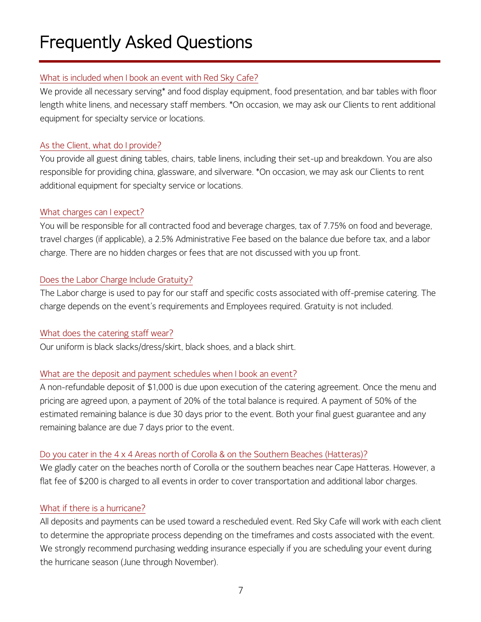# Frequently Asked Questions

#### What is included when I book an event with Red Sky Cafe?

We provide all necessary serving\* and food display equipment, food presentation, and bar tables with floor length white linens, and necessary staff members. \*On occasion, we may ask our Clients to rent additional equipment for specialty service or locations.

#### As the Client, what do I provide?

You provide all guest dining tables, chairs, table linens, including their set-up and breakdown. You are also responsible for providing china, glassware, and silverware. \*On occasion, we may ask our Clients to rent additional equipment for specialty service or locations.

#### What charges can I expect?

You will be responsible for all contracted food and beverage charges, tax of 7.75% on food and beverage, travel charges (if applicable), a 2.5% Administrative Fee based on the balance due before tax, and a labor charge. There are no hidden charges or fees that are not discussed with you up front.

#### Does the Labor Charge Include Gratuity?

The Labor charge is used to pay for our staff and specific costs associated with off-premise catering. The charge depends on the event's requirements and Employees required. Gratuity is not included.

#### What does the catering staff wear?

Our uniform is black slacks/dress/skirt, black shoes, and a black shirt.

### What are the deposit and payment schedules when I book an event?

A non-refundable deposit of \$1,000 is due upon execution of the catering agreement. Once the menu and pricing are agreed upon, a payment of 20% of the total balance is required. A payment of 50% of the estimated remaining balance is due 30 days prior to the event. Both your final guest guarantee and any remaining balance are due 7 days prior to the event.

### Do you cater in the 4 x 4 Areas north of Corolla & on the Southern Beaches (Hatteras)?

We gladly cater on the beaches north of Corolla or the southern beaches near Cape Hatteras. However, a flat fee of \$200 is charged to all events in order to cover transportation and additional labor charges.

### What if there is a hurricane?

All deposits and payments can be used toward a rescheduled event. Red Sky Cafe will work with each client to determine the appropriate process depending on the timeframes and costs associated with the event. We strongly recommend purchasing wedding insurance especially if you are scheduling your event during the hurricane season (June through November).